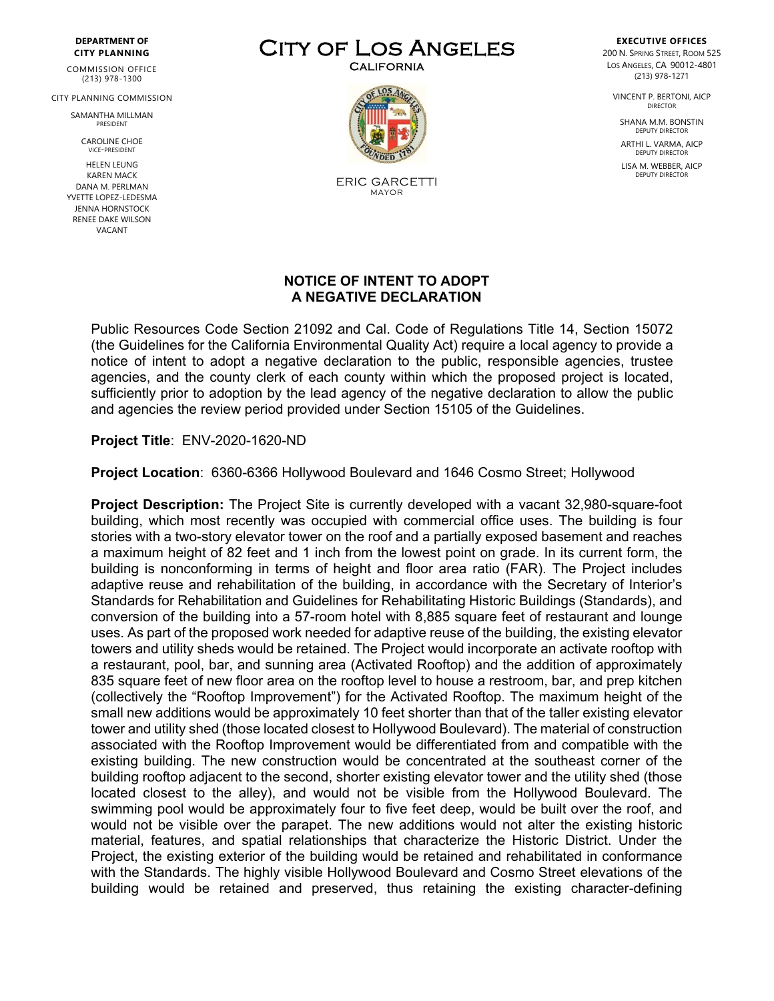## **DEPARTMENT OF CITY PLANNING**

COMMISSION OFFICE (213) 978-1300

CITY PLANNING COMMISSION

SAMANTHA MILLMAN PRESIDENT

> CAROLINE CHOE VICE-PRESIDENT

HELEN LEUNG KAREN MACK DANA M. PERLMAN YVETTE LOPEZ-LEDESMA JENNA HORNSTOCK RENEE DAKE WILSON VACANT

CITY OF LOS ANGELES



ERIC GARCETTI MAYOR

## **EXECUTIVE OFFICES** 200 N. SPRING STREET, ROOM 525 LOS ANGELES, CA 90012-4801 (213) 978-1271

VINCENT P. BERTONI, AICP DIRECTOR

SHANA M.M. BONSTIN DEPUTY DIRECTO

ARTHI L. VARMA, AICP DEPUTY DIRECTOR

LISA M. WEBBER, AICP DEPUTY DIRECTOR

## **NOTICE OF INTENT TO ADOPT A NEGATIVE DECLARATION**

Public Resources Code Section 21092 and Cal. Code of Regulations Title 14, Section 15072 (the Guidelines for the California Environmental Quality Act) require a local agency to provide a notice of intent to adopt a negative declaration to the public, responsible agencies, trustee agencies, and the county clerk of each county within which the proposed project is located, sufficiently prior to adoption by the lead agency of the negative declaration to allow the public and agencies the review period provided under Section 15105 of the Guidelines.

**Project Title**: ENV-2020-1620-ND

**Project Location**: 6360-6366 Hollywood Boulevard and 1646 Cosmo Street; Hollywood

**Project Description:** The Project Site is currently developed with a vacant 32,980-square-foot building, which most recently was occupied with commercial office uses. The building is four stories with a two-story elevator tower on the roof and a partially exposed basement and reaches a maximum height of 82 feet and 1 inch from the lowest point on grade. In its current form, the building is nonconforming in terms of height and floor area ratio (FAR). The Project includes adaptive reuse and rehabilitation of the building, in accordance with the Secretary of Interior's Standards for Rehabilitation and Guidelines for Rehabilitating Historic Buildings (Standards), and conversion of the building into a 57-room hotel with 8,885 square feet of restaurant and lounge uses. As part of the proposed work needed for adaptive reuse of the building, the existing elevator towers and utility sheds would be retained. The Project would incorporate an activate rooftop with a restaurant, pool, bar, and sunning area (Activated Rooftop) and the addition of approximately 835 square feet of new floor area on the rooftop level to house a restroom, bar, and prep kitchen (collectively the "Rooftop Improvement") for the Activated Rooftop. The maximum height of the small new additions would be approximately 10 feet shorter than that of the taller existing elevator tower and utility shed (those located closest to Hollywood Boulevard). The material of construction associated with the Rooftop Improvement would be differentiated from and compatible with the existing building. The new construction would be concentrated at the southeast corner of the building rooftop adjacent to the second, shorter existing elevator tower and the utility shed (those located closest to the alley), and would not be visible from the Hollywood Boulevard. The swimming pool would be approximately four to five feet deep, would be built over the roof, and would not be visible over the parapet. The new additions would not alter the existing historic material, features, and spatial relationships that characterize the Historic District. Under the Project, the existing exterior of the building would be retained and rehabilitated in conformance with the Standards. The highly visible Hollywood Boulevard and Cosmo Street elevations of the building would be retained and preserved, thus retaining the existing character-defining